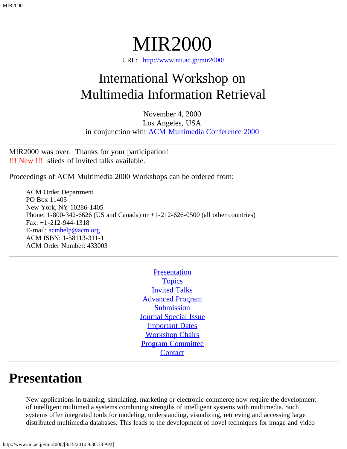MIR2000

URL: [http://www.nii.ac.jp/mir2000/](#page-0-0)

# <span id="page-0-0"></span>International Workshop on Multimedia Information Retrieval

November 4, 2000 Los Angeles, USA in conjunction with **[ACM Multimedia Conference 2000](http://www.acm.org/sigs/sigmm/MM2000/)** 

MIR2000 was over. Thanks for your participation! !!! New !!! slieds of invited talks available.

Proceedings of ACM Multimedia 2000 Workshops can be ordered from:

ACM Order Department PO Box 11405 New York, NY 10286-1405 Phone: 1-800-342-6626 (US and Canada) or +1-212-626-0500 (all other countries) Fax: +1-212-944-1318 E-mail: [acmhelp@acm.org](mailto:acmhelp@acm.org) ACM ISBN: 1-58113-311-1 ACM Order Number: 433003

> **[Presentation](#page-0-1) [Topics](#page-1-0)** [Invited Talks](#page-1-1) [Advanced Program](#page-1-2) **[Submission](#page-3-0)** [Journal Special Issue](#page-3-1) **[Important Dates](#page-3-2)** [Workshop Chairs](#page-4-0) [Program Committee](#page-4-1) **[Contact](#page-5-0)**

#### <span id="page-0-1"></span>**Presentation**

New applications in training, simulating, marketing or electronic commerce now require the development of intelligent multimedia systems combining strengths of intelligent systems with multimedia. Such systems offer integrated tools for modeling, understanding, visualizing, retrieving and accessing large distributed multimedia databases. This leads to the development of novel techniques for image and video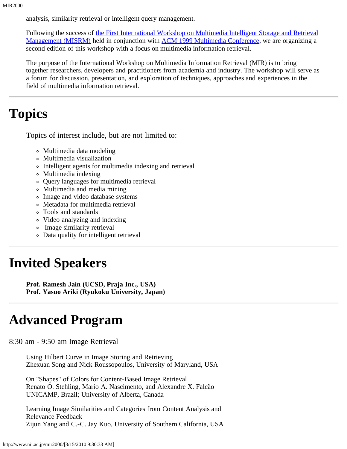analysis, similarity retrieval or intelligent query management.

Following the success of [the First International Workshop on Multimedia Intelligent Storage and Retrieval](http://www.info.uqam.ca/~misrm/) [Management \(MISRM\)](http://www.info.uqam.ca/~misrm/) held in conjunction with [ACM 1999 Multimedia Conference,](http://www.acm.org/sigs/sigmm/MM99/) we are organizing a second edition of this workshop with a focus on multimedia information retrieval.

The purpose of the International Workshop on Multimedia Information Retrieval (MIR) is to bring together researchers, developers and practitioners from academia and industry. The workshop will serve as a forum for discussion, presentation, and exploration of techniques, approaches and experiences in the field of multimedia information retrieval.

#### <span id="page-1-0"></span>**Topics**

Topics of interest include, but are not limited to:

- Multimedia data modeling
- Multimedia visualization
- Intelligent agents for multimedia indexing and retrieval
- Multimedia indexing
- Query languages for multimedia retrieval
- Multimedia and media mining
- Image and video database systems
- Metadata for multimedia retrieval
- Tools and standards
- Video analyzing and indexing
- Image similarity retrieval
- Data quality for intelligent retrieval

## <span id="page-1-1"></span>**Invited Speakers**

**Prof. Ramesh Jain (UCSD, Praja Inc., USA) Prof. Yasuo Ariki (Ryukoku University, Japan)**

## <span id="page-1-2"></span>**Advanced Program**

8:30 am - 9:50 am Image Retrieval

Using Hilbert Curve in Image Storing and Retrieving Zhexuan Song and Nick Roussopoulos, University of Maryland, USA

On "Shapes" of Colors for Content-Based Image Retrieval Renato O. Stehling, Mario A. Nascimento, and Alexandre X. Falcão UNICAMP, Brazil; University of Alberta, Canada

Learning Image Similarities and Categories from Content Analysis and Relevance Feedback Zijun Yang and C.-C. Jay Kuo, University of Southern California, USA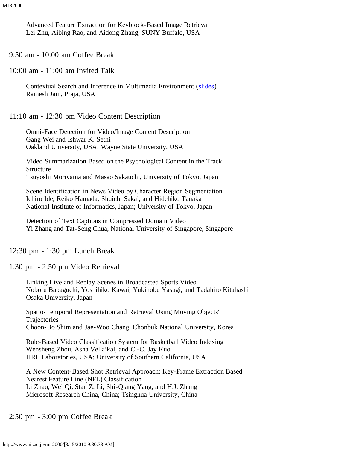Advanced Feature Extraction for Keyblock-Based Image Retrieval Lei Zhu, Aibing Rao, and Aidong Zhang, SUNY Buffalo, USA

9:50 am - 10:00 am Coffee Break

10:00 am - 11:00 am Invited Talk

Contextual Search and Inference in Multimedia Environment ([slides\)](http://www.nii.ac.jp/mir2000/MIR_2000_Jain.ps.gz) Ramesh Jain, Praja, USA

11:10 am - 12:30 pm Video Content Description

Omni-Face Detection for Video/Image Content Description Gang Wei and Ishwar K. Sethi Oakland University, USA; Wayne State University, USA

Video Summarization Based on the Psychological Content in the Track Structure Tsuyoshi Moriyama and Masao Sakauchi, University of Tokyo, Japan

Scene Identification in News Video by Character Region Segmentation Ichiro Ide, Reiko Hamada, Shuichi Sakai, and Hidehiko Tanaka National Institute of Informatics, Japan; University of Tokyo, Japan

Detection of Text Captions in Compressed Domain Video Yi Zhang and Tat-Seng Chua, National University of Singapore, Singapore

12:30 pm - 1:30 pm Lunch Break

1:30 pm - 2:50 pm Video Retrieval

Linking Live and Replay Scenes in Broadcasted Sports Video Noboru Babaguchi, Yoshihiko Kawai, Yukinobu Yasugi, and Tadahiro Kitahashi Osaka University, Japan

Spatio-Temporal Representation and Retrieval Using Moving Objects' **Trajectories** Choon-Bo Shim and Jae-Woo Chang, Chonbuk National University, Korea

Rule-Based Video Classification System for Basketball Video Indexing Wensheng Zhou, Asha Vellaikal, and C.-C. Jay Kuo HRL Laboratories, USA; University of Southern California, USA

A New Content-Based Shot Retrieval Approach: Key-Frame Extraction Based Nearest Feature Line (NFL) Classification Li Zhao, Wei Qi, Stan Z. Li, Shi-Qiang Yang, and H.J. Zhang Microsoft Research China, China; Tsinghua University, China

2:50 pm - 3:00 pm Coffee Break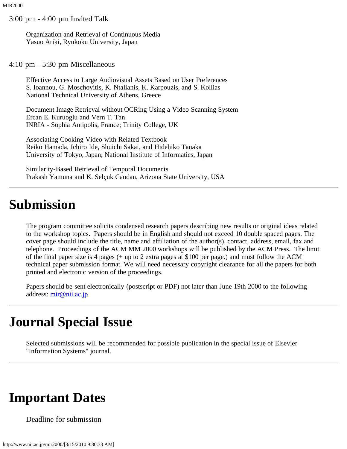3:00 pm - 4:00 pm Invited Talk

Organization and Retrieval of Continuous Media Yasuo Ariki, Ryukoku University, Japan

4:10 pm - 5:30 pm Miscellaneous

Effective Access to Large Audiovisual Assets Based on User Preferences S. Ioannou, G. Moschovitis, K. Ntalianis, K. Karpouzis, and S. Kollias National Technical University of Athens, Greece

Document Image Retrieval without OCRing Using a Video Scanning System Ercan E. Kuruoglu and Vern T. Tan INRIA - Sophia Antipolis, France; Trinity College, UK

Associating Cooking Video with Related Textbook Reiko Hamada, Ichiro Ide, Shuichi Sakai, and Hidehiko Tanaka University of Tokyo, Japan; National Institute of Informatics, Japan

Similarity-Based Retrieval of Temporal Documents Prakash Yamuna and K. Selçuk Candan, Arizona State University, USA

#### <span id="page-3-0"></span>**Submission**

The program committee solicits condensed research papers describing new results or original ideas related to the workshop topics. Papers should be in English and should not exceed 10 double spaced pages. The cover page should include the title, name and affiliation of the author(s), contact, address, email, fax and telephone. Proceedings of the ACM MM 2000 workshops will be published by the ACM Press. The limit of the final paper size is 4 pages (+ up to 2 extra pages at \$100 per page.) and must follow the ACM technical paper submission format. We will need necessary copyright clearance for all the papers for both printed and electronic version of the proceedings.

Papers should be sent electronically (postscript or PDF) not later than June 19th 2000 to the following address: [mir@nii.ac.jp](mailto:mir@nii.ac.jp)

## <span id="page-3-1"></span>**Journal Special Issue**

Selected submissions will be recommended for possible publication in the special issue of Elsevier "Information Systems" journal.

#### <span id="page-3-2"></span>**Important Dates**

Deadline for submission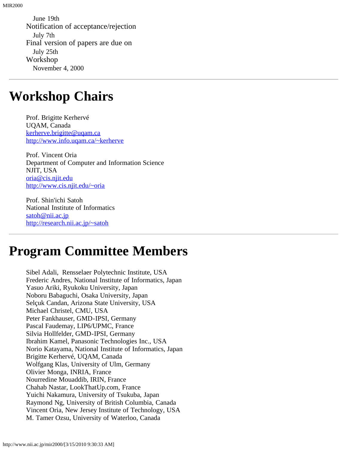June 19th Notification of acceptance/rejection July 7th Final version of papers are due on July 25th Workshop November 4, 2000

#### <span id="page-4-0"></span>**Workshop Chairs**

Prof. Brigitte Kerhervé UQAM, Canada [kerherve.brigitte@uqam.ca](mailto:kerherve.brigitte@uqam.ca) <http://www.info.uqam.ca/~kerherve>

Prof. Vincent Oria Department of Computer and Information Science NJIT, USA [oria@cis.njit.edu](mailto:oria@cis.njit.edu) <http://www.cis.njit.edu/~oria>

Prof. Shin'ichi Satoh National Institute of Informatics [satoh@nii.ac.jp](mailto:satoh@nii.ac.jp) <http://research.nii.ac.jp/~satoh>

## <span id="page-4-1"></span>**Program Committee Members**

Sibel Adali, Rensselaer Polytechnic Institute, USA Frederic Andres, National Institute of Informatics, Japan Yasuo Ariki, Ryukoku University, Japan Noboru Babaguchi, Osaka University, Japan Selçuk Candan, Arizona State University, USA Michael Christel, CMU, USA Peter Fankhauser, GMD-IPSI, Germany Pascal Faudemay, LIP6/UPMC, France Silvia Hollfelder, GMD-IPSI, Germany Ibrahim Kamel, Panasonic Technologies Inc., USA Norio Katayama, National Institute of Informatics, Japan Brigitte Kerhervé, UQAM, Canada Wolfgang Klas, University of Ulm, Germany Olivier Monga, INRIA, France Nourredine Mouaddib, IRIN, France Chahab Nastar, LookThatUp.com, France Yuichi Nakamura, University of Tsukuba, Japan Raymond Ng, University of British Columbia, Canada Vincent Oria, New Jersey Institute of Technology, USA M. Tamer Ozsu, University of Waterloo, Canada